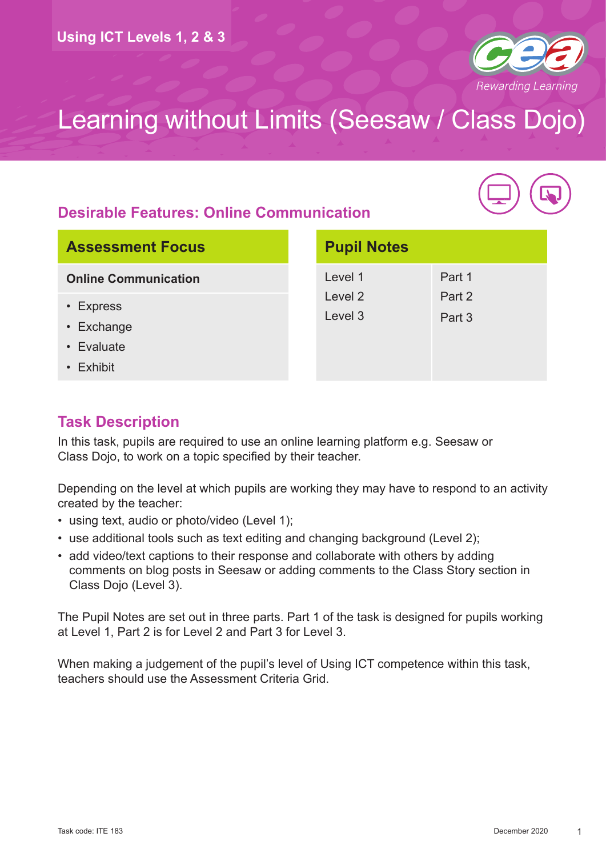

#### **Desirable Features: Online Communication**



| <b>Assessment Focus</b> |  |
|-------------------------|--|
|-------------------------|--|

**Online Communication**

- Express
- Exchange
- Evaluate
- Exhibit

| <b>Pupil Notes</b> |        |
|--------------------|--------|
| Level 1            | Part 1 |
| Level 2            | Part 2 |
| Level 3            | Part 3 |
|                    |        |
|                    |        |
|                    |        |

#### **Task Description**

In this task, pupils are required to use an online learning platform e.g. Seesaw or Class Dojo, to work on a topic specified by their teacher.

Depending on the level at which pupils are working they may have to respond to an activity created by the teacher:

- using text, audio or photo/video (Level 1);
- use additional tools such as text editing and changing background (Level 2);
- add video/text captions to their response and collaborate with others by adding comments on blog posts in Seesaw or adding comments to the Class Story section in Class Dojo (Level 3).

The Pupil Notes are set out in three parts. Part 1 of the task is designed for pupils working at Level 1, Part 2 is for Level 2 and Part 3 for Level 3.

When making a judgement of the pupil's level of Using ICT competence within this task, teachers should use the Assessment Criteria Grid.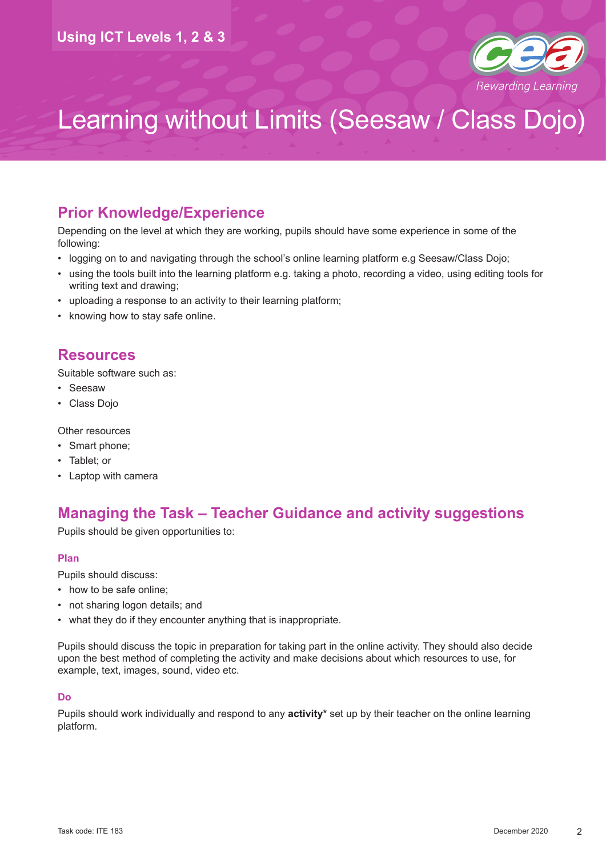

#### **Prior Knowledge/Experience**

Depending on the level at which they are working, pupils should have some experience in some of the following:

- logging on to and navigating through the school's online learning platform e.g Seesaw/Class Dojo;
- using the tools built into the learning platform e.g. taking a photo, recording a video, using editing tools for writing text and drawing;
- uploading a response to an activity to their learning platform;
- knowing how to stay safe online.

#### **Resources**

Suitable software such as:

- Seesaw
- Class Dojo

Other resources

- Smart phone:
- Tablet; or
- Laptop with camera

#### **Managing the Task – Teacher Guidance and activity suggestions**

Pupils should be given opportunities to:

#### **Plan**

Pupils should discuss:

- how to be safe online;
- not sharing logon details; and
- what they do if they encounter anything that is inappropriate.

Pupils should discuss the topic in preparation for taking part in the online activity. They should also decide upon the best method of completing the activity and make decisions about which resources to use, for example, text, images, sound, video etc.

#### **Do**

Pupils should work individually and respond to any **activity\*** set up by their teacher on the online learning platform.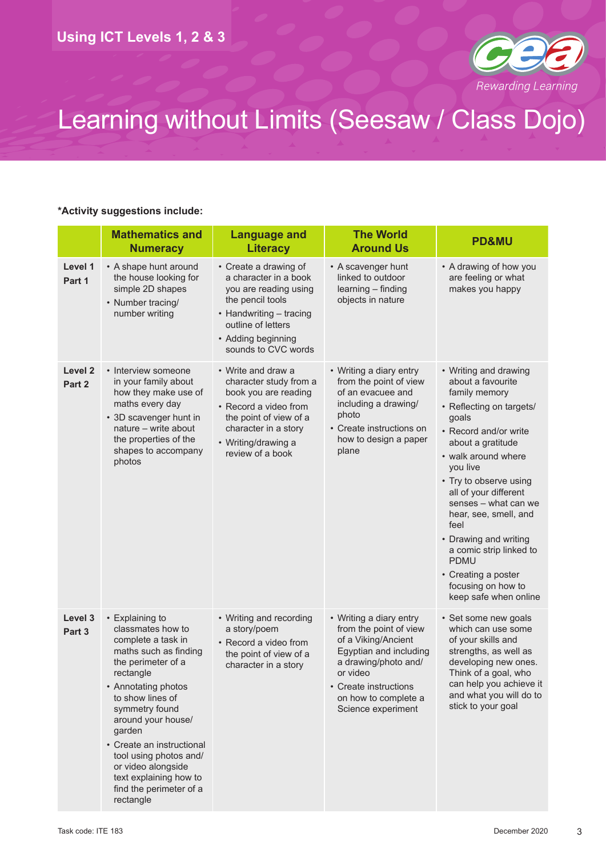

#### **\*Activity suggestions include:**

|                              | <b>Mathematics and</b><br><b>Numeracy</b>                                                                                                                                                                                                                                                                                                                          | <b>Language and</b><br><b>Literacy</b>                                                                                                                                                     | <b>The World</b><br><b>Around Us</b>                                                                                                                                                                          | <b>PD&amp;MU</b>                                                                                                                                                                                                                                                                                                                                                                                                                       |
|------------------------------|--------------------------------------------------------------------------------------------------------------------------------------------------------------------------------------------------------------------------------------------------------------------------------------------------------------------------------------------------------------------|--------------------------------------------------------------------------------------------------------------------------------------------------------------------------------------------|---------------------------------------------------------------------------------------------------------------------------------------------------------------------------------------------------------------|----------------------------------------------------------------------------------------------------------------------------------------------------------------------------------------------------------------------------------------------------------------------------------------------------------------------------------------------------------------------------------------------------------------------------------------|
| Level 1<br>Part 1            | • A shape hunt around<br>the house looking for<br>simple 2D shapes<br>• Number tracing/<br>number writing                                                                                                                                                                                                                                                          | • Create a drawing of<br>a character in a book<br>you are reading using<br>the pencil tools<br>• Handwriting - tracing<br>outline of letters<br>• Adding beginning<br>sounds to CVC words  | • A scavenger hunt<br>linked to outdoor<br>learning - finding<br>objects in nature                                                                                                                            | • A drawing of how you<br>are feeling or what<br>makes you happy                                                                                                                                                                                                                                                                                                                                                                       |
| Level <sub>2</sub><br>Part 2 | • Interview someone<br>in your family about<br>how they make use of<br>maths every day<br>• 3D scavenger hunt in<br>nature - write about<br>the properties of the<br>shapes to accompany<br>photos                                                                                                                                                                 | • Write and draw a<br>character study from a<br>book you are reading<br>• Record a video from<br>the point of view of a<br>character in a story<br>• Writing/drawing a<br>review of a book | • Writing a diary entry<br>from the point of view<br>of an evacuee and<br>including a drawing/<br>photo<br>• Create instructions on<br>how to design a paper<br>plane                                         | • Writing and drawing<br>about a favourite<br>family memory<br>• Reflecting on targets/<br>goals<br>• Record and/or write<br>about a gratitude<br>• walk around where<br>you live<br>• Try to observe using<br>all of your different<br>senses - what can we<br>hear, see, smell, and<br>feel<br>• Drawing and writing<br>a comic strip linked to<br><b>PDMU</b><br>• Creating a poster<br>focusing on how to<br>keep safe when online |
| Level 3<br>Part 3            | • Explaining to<br>classmates how to<br>complete a task in<br>maths such as finding<br>the perimeter of a<br>rectangle<br>• Annotating photos<br>to show lines of<br>symmetry found<br>around your house/<br>garden<br>• Create an instructional<br>tool using photos and/<br>or video alongside<br>text explaining how to<br>find the perimeter of a<br>rectangle | • Writing and recording<br>a story/poem<br>• Record a video from<br>the point of view of a<br>character in a story                                                                         | • Writing a diary entry<br>from the point of view<br>of a Viking/Ancient<br>Egyptian and including<br>a drawing/photo and/<br>or video<br>• Create instructions<br>on how to complete a<br>Science experiment | • Set some new goals<br>which can use some<br>of your skills and<br>strengths, as well as<br>developing new ones.<br>Think of a goal, who<br>can help you achieve it<br>and what you will do to<br>stick to your goal                                                                                                                                                                                                                  |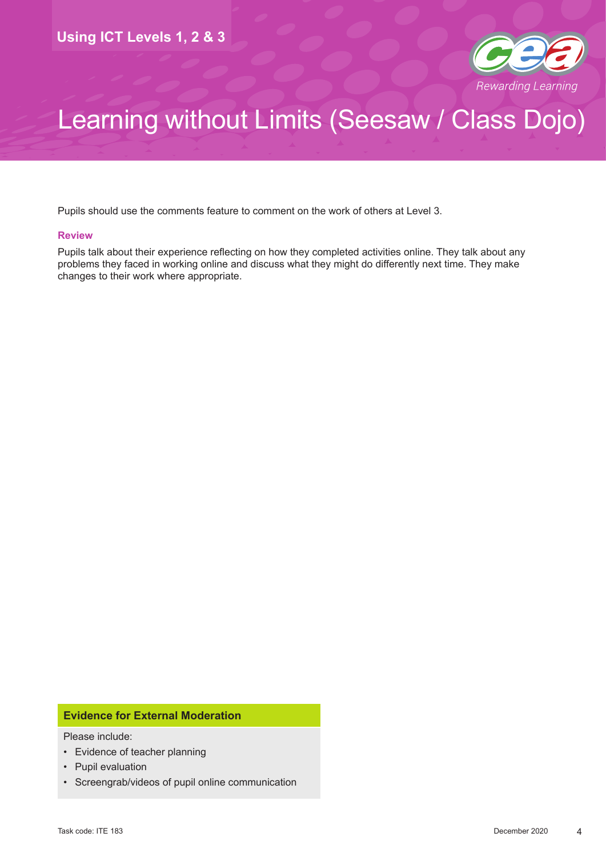

Pupils should use the comments feature to comment on the work of others at Level 3.

#### **Review**

Pupils talk about their experience reflecting on how they completed activities online. They talk about any problems they faced in working online and discuss what they might do differently next time. They make changes to their work where appropriate.

#### **Evidence for External Moderation**

Please include:

- Evidence of teacher planning
- Pupil evaluation
- Screengrab/videos of pupil online communication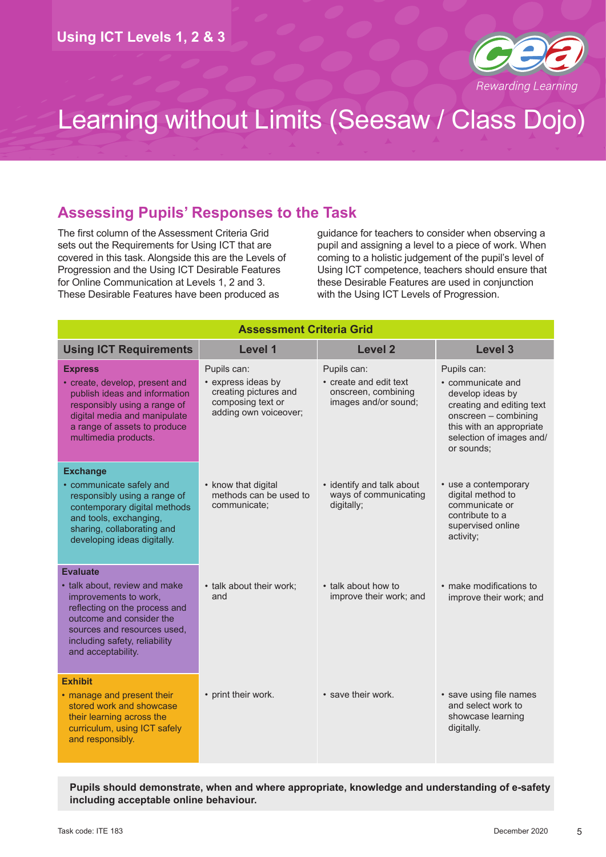

#### **Assessing Pupils' Responses to the Task**

The first column of the Assessment Criteria Grid sets out the Requirements for Using ICT that are covered in this task. Alongside this are the Levels of Progression and the Using ICT Desirable Features for Online Communication at Levels 1, 2 and 3. These Desirable Features have been produced as

guidance for teachers to consider when observing a pupil and assigning a level to a piece of work. When coming to a holistic judgement of the pupil's level of Using ICT competence, teachers should ensure that these Desirable Features are used in conjunction with the Using ICT Levels of Progression.

| <b>Assessment Criteria Grid</b>                                                                                                                                                                           |                                                                                                          |                                                                                      |                                                                                                                                                                                 |  |
|-----------------------------------------------------------------------------------------------------------------------------------------------------------------------------------------------------------|----------------------------------------------------------------------------------------------------------|--------------------------------------------------------------------------------------|---------------------------------------------------------------------------------------------------------------------------------------------------------------------------------|--|
| <b>Using ICT Requirements</b>                                                                                                                                                                             | Level 1                                                                                                  | <b>Level 2</b>                                                                       | Level 3                                                                                                                                                                         |  |
| <b>Express</b><br>• create, develop, present and<br>publish ideas and information<br>responsibly using a range of<br>digital media and manipulate<br>a range of assets to produce<br>multimedia products. | Pupils can:<br>• express ideas by<br>creating pictures and<br>composing text or<br>adding own voiceover; | Pupils can:<br>• create and edit text<br>onscreen, combining<br>images and/or sound; | Pupils can:<br>• communicate and<br>develop ideas by<br>creating and editing text<br>onscreen - combining<br>this with an appropriate<br>selection of images and/<br>or sounds; |  |
| <b>Exchange</b><br>• communicate safely and<br>responsibly using a range of<br>contemporary digital methods<br>and tools, exchanging,<br>sharing, collaborating and<br>developing ideas digitally.        | • know that digital<br>methods can be used to<br>communicate:                                            | • identify and talk about<br>ways of communicating<br>digitally;                     | • use a contemporary<br>digital method to<br>communicate or<br>contribute to a<br>supervised online<br>activity;                                                                |  |
| <b>Evaluate</b>                                                                                                                                                                                           |                                                                                                          |                                                                                      |                                                                                                                                                                                 |  |
| • talk about, review and make<br>improvements to work,<br>reflecting on the process and<br>outcome and consider the<br>sources and resources used,<br>including safety, reliability<br>and acceptability. | • talk about their work;<br>and                                                                          | • talk about how to<br>improve their work; and                                       | • make modifications to<br>improve their work; and                                                                                                                              |  |
| <b>Exhibit</b>                                                                                                                                                                                            |                                                                                                          |                                                                                      |                                                                                                                                                                                 |  |
| • manage and present their<br>stored work and showcase<br>their learning across the<br>curriculum, using ICT safely<br>and responsibly.                                                                   | • print their work.                                                                                      | • save their work.                                                                   | • save using file names<br>and select work to<br>showcase learning<br>digitally.                                                                                                |  |

**Pupils should demonstrate, when and where appropriate, knowledge and understanding of e-safety including acceptable online behaviour.**

5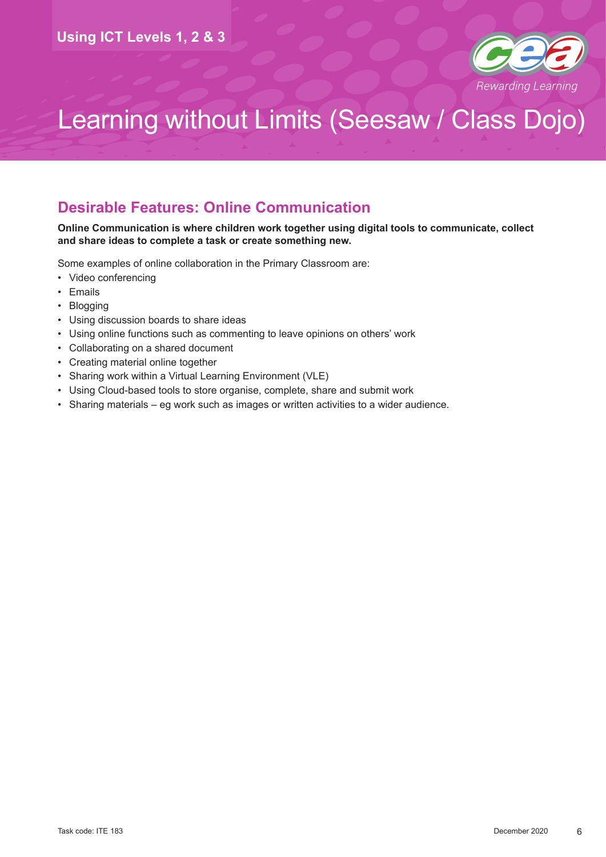

#### **Desirable Features: Online Communication**

#### **Online Communication is where children work together using digital tools to communicate, collect and share ideas to complete a task or create something new.**

Some examples of online collaboration in the Primary Classroom are:

- Video conferencing
- Emails
- Blogging
- Using discussion boards to share ideas
- Using online functions such as commenting to leave opinions on others' work
- Collaborating on a shared document
- Creating material online together
- Sharing work within a Virtual Learning Environment (VLE)
- Using Cloud-based tools to store organise, complete, share and submit work
- Sharing materials eg work such as images or written activities to a wider audience.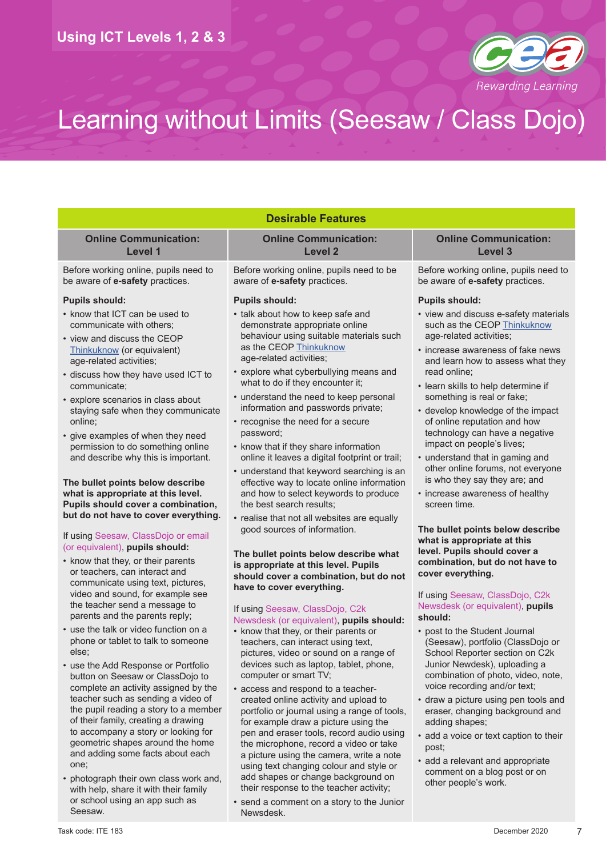

| <b>Desirable Features</b>                                                                                       |                                                                                                                                           |                                                                                                       |  |  |  |
|-----------------------------------------------------------------------------------------------------------------|-------------------------------------------------------------------------------------------------------------------------------------------|-------------------------------------------------------------------------------------------------------|--|--|--|
| <b>Online Communication:</b><br>Level 1                                                                         | <b>Online Communication:</b><br><b>Level 2</b>                                                                                            | <b>Online Communication:</b><br>Level <sub>3</sub>                                                    |  |  |  |
| Before working online, pupils need to<br>be aware of e-safety practices.                                        | Before working online, pupils need to be<br>aware of e-safety practices.                                                                  | Before working online, pupils need to<br>be aware of e-safety practices.                              |  |  |  |
| <b>Pupils should:</b>                                                                                           | <b>Pupils should:</b>                                                                                                                     | <b>Pupils should:</b>                                                                                 |  |  |  |
| • know that ICT can be used to<br>communicate with others;<br>• view and discuss the CEOP                       | • talk about how to keep safe and<br>demonstrate appropriate online<br>behaviour using suitable materials such                            | • view and discuss e-safety materials<br>such as the CEOP Thinkuknow<br>age-related activities;       |  |  |  |
| Thinkuknow (or equivalent)<br>age-related activities;                                                           | as the CEOP Thinkuknow<br>age-related activities;                                                                                         | • increase awareness of fake news<br>and learn how to assess what they                                |  |  |  |
| • discuss how they have used ICT to<br>communicate;                                                             | • explore what cyberbullying means and<br>what to do if they encounter it;                                                                | read online;<br>• learn skills to help determine if                                                   |  |  |  |
| · explore scenarios in class about<br>staying safe when they communicate                                        | • understand the need to keep personal<br>information and passwords private;                                                              | something is real or fake;<br>• develop knowledge of the impact                                       |  |  |  |
| online;<br>• give examples of when they need                                                                    | • recognise the need for a secure<br>password;                                                                                            | of online reputation and how<br>technology can have a negative                                        |  |  |  |
| permission to do something online<br>and describe why this is important.                                        | • know that if they share information                                                                                                     | impact on people's lives;                                                                             |  |  |  |
| The bullet points below describe                                                                                | online it leaves a digital footprint or trail;<br>• understand that keyword searching is an<br>effective way to locate online information | • understand that in gaming and<br>other online forums, not everyone<br>is who they say they are; and |  |  |  |
| what is appropriate at this level.<br>Pupils should cover a combination,                                        | and how to select keywords to produce<br>the best search results:                                                                         | • increase awareness of healthy<br>screen time.                                                       |  |  |  |
| but do not have to cover everything.                                                                            | • realise that not all websites are equally                                                                                               |                                                                                                       |  |  |  |
| If using Seesaw, ClassDojo or email<br>(or equivalent), pupils should:                                          | good sources of information.                                                                                                              | The bullet points below describe<br>what is appropriate at this                                       |  |  |  |
| • know that they, or their parents<br>or teachers, can interact and                                             | The bullet points below describe what<br>is appropriate at this level. Pupils<br>should cover a combination, but do not                   | level. Pupils should cover a<br>combination, but do not have to<br>cover everything.                  |  |  |  |
| communicate using text, pictures,<br>video and sound, for example see                                           | have to cover everything.                                                                                                                 | If using Seesaw, ClassDojo, C2k                                                                       |  |  |  |
| the teacher send a message to<br>parents and the parents reply;                                                 | If using Seesaw, ClassDojo, C2k<br>Newsdesk (or equivalent), pupils should:                                                               | Newsdesk (or equivalent), pupils<br>should:                                                           |  |  |  |
| • use the talk or video function on a<br>phone or tablet to talk to someone<br>else;                            | • know that they, or their parents or<br>teachers, can interact using text,<br>pictures, video or sound on a range of                     | • post to the Student Journal<br>(Seesaw), portfolio (ClassDojo or<br>School Reporter section on C2k  |  |  |  |
| • use the Add Response or Portfolio<br>button on Seesaw or ClassDojo to<br>complete an activity assigned by the | devices such as laptop, tablet, phone,<br>computer or smart TV;                                                                           | Junior Newdesk), uploading a<br>combination of photo, video, note,<br>voice recording and/or text;    |  |  |  |
| teacher such as sending a video of<br>the pupil reading a story to a member                                     | • access and respond to a teacher-<br>created online activity and upload to<br>portfolio or journal using a range of tools,               | • draw a picture using pen tools and<br>eraser, changing background and                               |  |  |  |
| of their family, creating a drawing<br>to accompany a story or looking for<br>geometric shapes around the home  | for example draw a picture using the<br>pen and eraser tools, record audio using                                                          | adding shapes;<br>• add a voice or text caption to their                                              |  |  |  |
| and adding some facts about each                                                                                | the microphone, record a video or take<br>a picture using the camera, write a note                                                        | post:<br>add a relevant and appropriate                                                               |  |  |  |

using text changing colour and style or add shapes or change background on their response to the teacher activity; • send a comment on a story to the Junior

Newsdesk.

• add a relevant and appropriate comment on a blog post or on other people's work.

Seesaw.

• photograph their own class work and, with help, share it with their family or school using an app such as

one;

7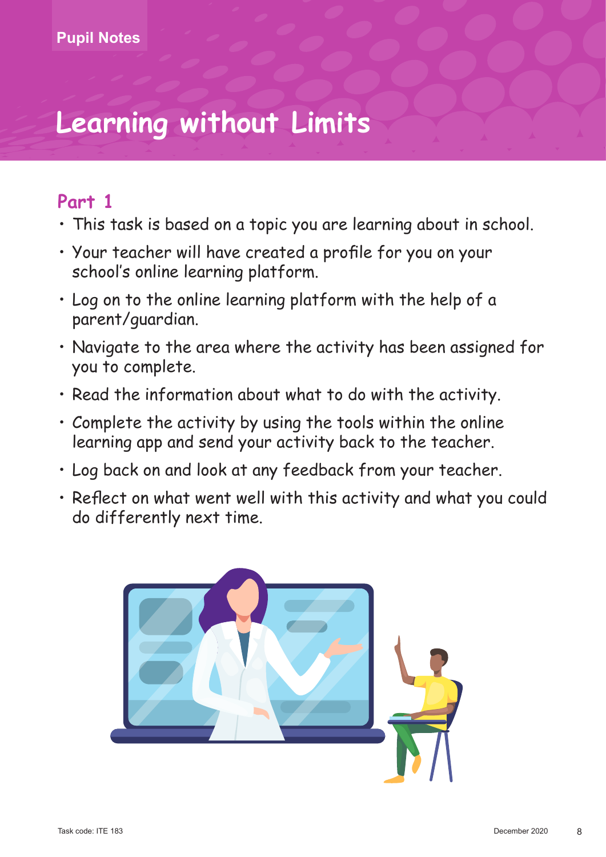# **Learning without Limits**

## **Part 1**

- This task is based on a topic you are learning about in school.
- Your teacher will have created a profile for you on your school's online learning platform.
- Log on to the online learning platform with the help of a parent/guardian.
- Navigate to the area where the activity has been assigned for you to complete.
- Read the information about what to do with the activity.
- Complete the activity by using the tools within the online learning app and send your activity back to the teacher.
- Log back on and look at any feedback from your teacher.
- Reflect on what went well with this activity and what you could do differently next time.

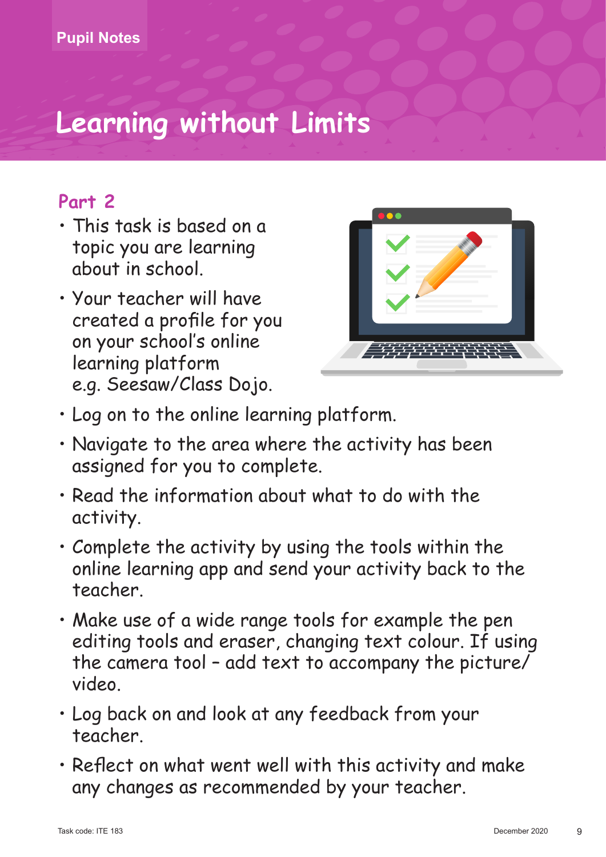# **Learning without Limits**

## **Part 2**

- This task is based on a topic you are learning about in school.
- Your teacher will have created a profile for you on your school's online learning platform e.g. Seesaw/Class Dojo.



- • Log on to the online learning platform.
- Navigate to the area where the activity has been assigned for you to complete.
- • Read the information about what to do with the activity.
- • Complete the activity by using the tools within the online learning app and send your activity back to the teacher.
- • Make use of a wide range tools for example the pen editing tools and eraser, changing text colour. If using the camera tool – add text to accompany the picture/ video.
- • Log back on and look at any feedback from your teacher.
- • Reflect on what went well with this activity and make any changes as recommended by your teacher.